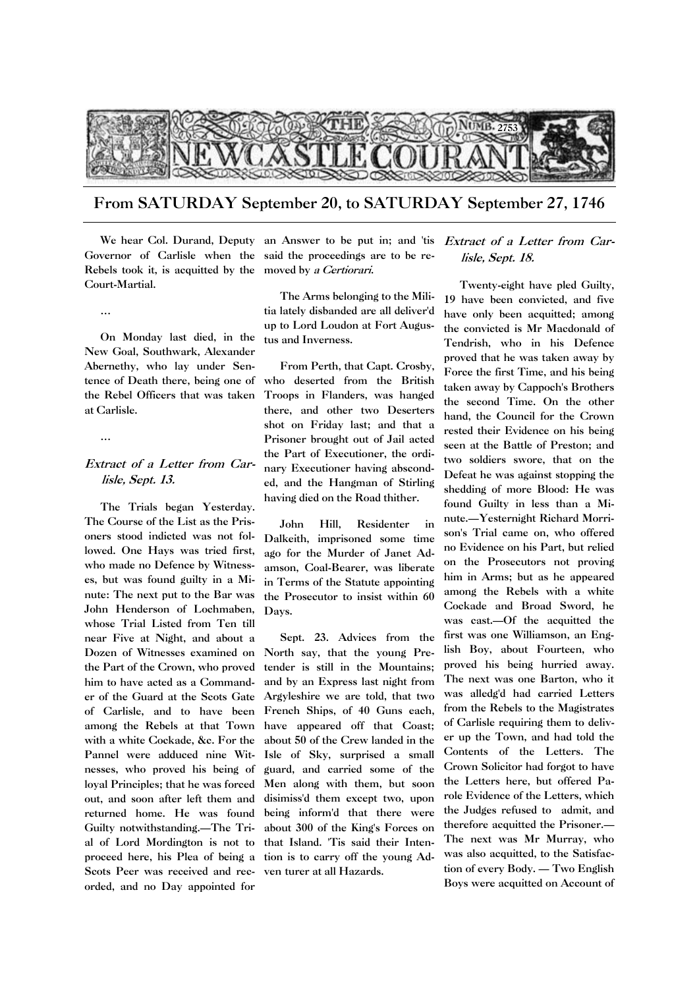

From SATURDAY September 20, to SATURDAY September 27, 1746

Rebels took it, is acquitted by the moved by a Certiorari. Court-Martial.

…

On Monday last died, in the New Goal, Southwark, Alexander Abernethy, who lay under Sentence of Death there, being one of the Rebel Officers that was taken at Carlisle.

…

## Extract of a Letter from Carlisle, Sept. 13.

The Trials began Yesterday. The Course of the List as the Prisoners stood indicted was not followed. One Hays was tried first, who made no Defence by Witnesses, but was found guilty in a Minute: The next put to the Bar was John Henderson of Lochmaben, whose Trial Listed from Ten till near Five at Night, and about a Dozen of Witnesses examined on the Part of the Crown, who proved him to have acted as a Commander of the Guard at the Scots Gate of Carlisle, and to have been among the Rebels at that Town with a white Cockade, &c. For the Pannel were adduced nine Witnesses, who proved his being of loyal Principles; that he was forced out, and soon after left them and returned home. He was found Guilty notwithstanding.—The Trial of Lord Mordington is not to proceed here, his Plea of being a tion is to carry off the young Ad-Scots Peer was received and rec-ven turer at all Hazards. orded, and no Day appointed for

We hear Col. Durand, Deputy an Answer to be put in; and 'tis Governor of Carlisle when the said the proceedings are to be re-

> The Arms belonging to the Militia lately disbanded are all deliver'd up to Lord Loudon at Fort Augustus and Inverness.

> From Perth, that Capt. Crosby, who deserted from the British Troops in Flanders, was hanged there, and other two Deserters shot on Friday last; and that a Prisoner brought out of Jail acted the Part of Executioner, the ordinary Executioner having absconded, and the Hangman of Stirling having died on the Road thither.

John Hill, Residenter in Dalkeith, imprisoned some time ago for the Murder of Janet Adamson, Coal-Bearer, was liberate in Terms of the Statute appointing the Prosecutor to insist within 60 Days.

Sept. 23. Advices from the North say, that the young Pretender is still in the Mountains; and by an Express last night from Argyleshire we are told, that two French Ships, of 40 Guns each, have appeared off that Coast; about 50 of the Crew landed in the Isle of Sky, surprised a small guard, and carried some of the Men along with them, but soon disimiss'd them except two, upon being inform'd that there were about 300 of the King's Forces on that Island. 'Tis said their Inten-

## Extract of a Letter from Carlisle, Sept. 18.

Twenty-eight have pled Guilty, 19 have been convicted, and five have only been acquitted; among the convicted is Mr Macdonald of Tendrish, who in his Defence proved that he was taken away by Force the first Time, and his being taken away by Cappoch's Brothers the second Time. On the other hand, the Council for the Crown rested their Evidence on his being seen at the Battle of Preston; and two soldiers swore, that on the Defeat he was against stopping the shedding of more Blood: He was found Guilty in less than a Minute.—Yesternight Richard Morrison's Trial came on, who offered no Evidence on his Part, but relied on the Prosecutors not proving him in Arms; but as he appeared among the Rebels with a white Cockade and Broad Sword, he was cast.—Of the acquitted the first was one Williamson, an English Boy, about Fourteen, who proved his being hurried away. The next was one Barton, who it was alledg'd had carried Letters from the Rebels to the Magistrates of Carlisle requiring them to deliver up the Town, and had told the Contents of the Letters. The Crown Solicitor had forgot to have the Letters here, but offered Parole Evidence of the Letters, which the Judges refused to admit, and therefore acquitted the Prisoner.— The next was Mr Murray, who was also acquitted, to the Satisfaction of every Body. — Two English Boys were acquitted on Account of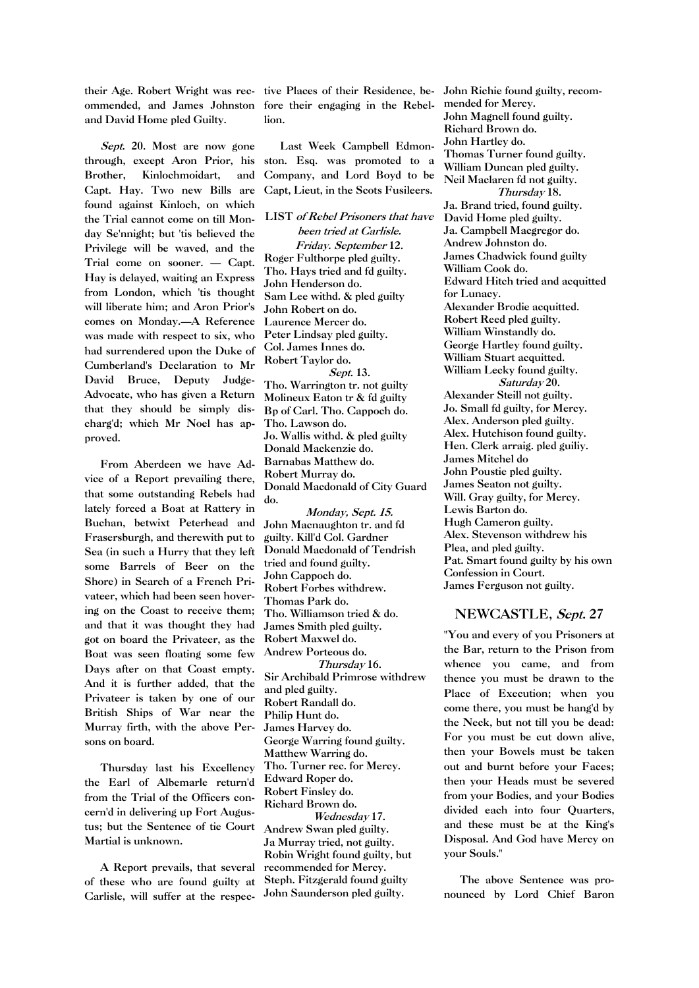their Age. Robert Wright was rec-tive Places of their Residence, beommended, and James Johnston fore their engaging in the Rebeland David Home pled Guilty.

Sept. 20. Most are now gone through, except Aron Prior, his Brother, Kinlochmoidart, and Capt. Hay. Two new Bills are found against Kinloch, on which the Trial cannot come on till Monday Se'nnight; but 'tis believed the Privilege will be waved, and the Trial come on sooner. — Capt. Hay is delayed, waiting an Express from London, which 'tis thought will liberate him; and Aron Prior's comes on Monday.—A Reference was made with respect to six, who had surrendered upon the Duke of Cumberland's Declaration to Mr David Bruce, Deputy Judge-Advocate, who has given a Return that they should be simply discharg'd; which Mr Noel has approved.

From Aberdeen we have Advice of a Report prevailing there, that some outstanding Rebels had lately forced a Boat at Rattery in Buchan, betwixt Peterhead and Frasersburgh, and therewith put to Sea (in such a Hurry that they left some Barrels of Beer on the Shore) in Search of a French Privateer, which had been seen hovering on the Coast to receive them; and that it was thought they had got on board the Privateer, as the Boat was seen floating some few Days after on that Coast empty. And it is further added, that the Privateer is taken by one of our British Ships of War near the Murray firth, with the above Persons on board.

Thursday last his Excellency the Earl of Albemarle return'd from the Trial of the Officers concern'd in delivering up Fort Augustus; but the Sentence of tie Court Martial is unknown.

A Report prevails, that several of these who are found guilty at Carlisle, will suffer at the respec-

lion.

Last Week Campbell Edmonston. Esq. was promoted to a Company, and Lord Boyd to be Capt, Lieut, in the Scots Fusileers.

LIST of Rebel Prisoners that have been tried at Carlisle. Friday. September 12. Roger Fulthorpe pled guilty. Tho. Hays tried and fd guilty. John Henderson do. Sam Lee withd. & pled guilty John Robert on do. Laurence Mercer do. Peter Lindsay pled guilty. Col. James Innes do. Robert Taylor do. Sept. 13. Tho. Warrington tr. not guilty Molineux Eaton tr & fd guilty Bp of Carl. Tho. Cappoch do. Tho. Lawson do. Jo. Wallis withd. & pled guilty Donald Mackenzie do. Barnabas Matthew do. Robert Murray do. Donald Macdonald of City Guard do.

Monday, Sept. 15. John Macnaughton tr. and fd guilty. Kill'd Col. Gardner Donald Macdonald of Tendrish tried and found guilty. John Cappoch do. Robert Forbes withdrew. Thomas Park do. Tho. Williamson tried & do. James Smith pled guilty. Robert Maxwel do. Andrew Porteous do. Thursday 16. Sir Archibald Primrose withdrew and pled guilty. Robert Randall do. Philip Hunt do. James Harvey do. George Warring found guilty. Matthew Warring do. Tho. Turner rec. for Mercy. Edward Roper do. Robert Finsley do. Richard Brown do. Wednesday 17. Andrew Swan pled guilty. Ja Murray tried, not guilty. Robin Wright found guilty, but recommended for Mercy. Steph. Fitzgerald found guilty

John Saunderson pled guilty.

John Richie found guilty, recommended for Mercy. John Magnell found guilty. Richard Brown do. John Hartley do. Thomas Turner found guilty. William Duncan pled guilty. Neil Maclaren fd not guilty. Thursday 18. Ja. Brand tried, found guilty. David Home pled guilty. Ja. Campbell Macgregor do. Andrew Johnston do. James Chadwick found guilty William Cook do. Edward Hitch tried and acquitted for Lunacy. Alexander Brodie acquitted. Robert Reed pled guilty. William Winstandly do. George Hartley found guilty. William Stuart acquitted. William Lecky found guilty. Saturday 20. Alexander Steill not guilty. Jo. Small fd guilty, for Mercy. Alex. Anderson pled guilty. Alex. Hutchison found guilty. Hen. Clerk arraig. pled guiliy. James Mitchel do John Poustie pled guilty. James Seaton not guilty. Will. Gray guilty, for Mercy. Lewis Barton do. Hugh Cameron guilty. Alex. Stevenson withdrew his Plea, and pled guilty. Pat. Smart found guilty by his own Confession in Court. James Ferguson not guilty.

## NEWCASTLE, Sept. 27

"You and every of you Prisoners at the Bar, return to the Prison from whence you came, and from thence you must be drawn to the Place of Execution; when you come there, you must be hang'd by the Neck, but not till you be dead: For you must be cut down alive, then your Bowels must be taken out and burnt before your Faces; then your Heads must be severed from your Bodies, and your Bodies divided each into four Quarters, and these must be at the King's Disposal. And God have Mercy on your Souls."

The above Sentence was pronounced by Lord Chief Baron